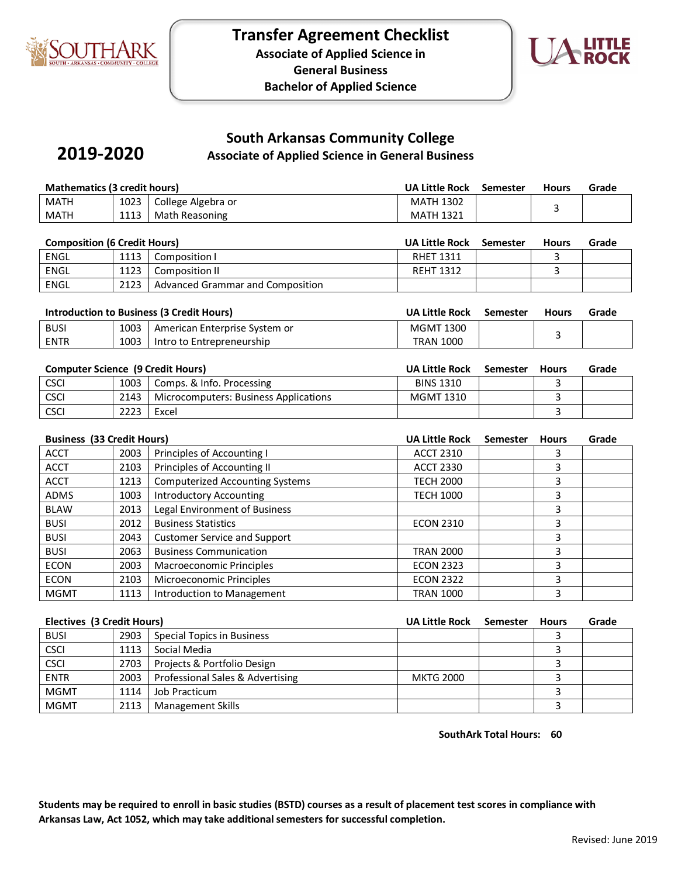

**2019-2020**



# **South Arkansas Community College**

**Associate of Applied Science in General Business** 

| Mathematics (3 credit hours) |      | <b>UA Little Rock</b> | Semester         | <b>Hours</b> | Grade |  |
|------------------------------|------|-----------------------|------------------|--------------|-------|--|
| <b>MATH</b>                  | 1023 | College Algebra or    | <b>MATH 1302</b> |              |       |  |
| <b>MATH</b>                  | 1113 | Math Reasoning        | <b>MATH 1321</b> |              |       |  |

| <b>Composition (6 Credit Hours)</b> |      | UA Little Rock                   | Semester         | <b>Hours</b> | Grade |  |
|-------------------------------------|------|----------------------------------|------------------|--------------|-------|--|
| ENGL                                | 1113 | Composition I                    | <b>RHET 1311</b> |              |       |  |
| ENGL                                | 1123 | Composition II                   | <b>REHT 1312</b> |              |       |  |
| ENGL                                | 2123 | Advanced Grammar and Composition |                  |              |       |  |

| Introduction to Business (3 Credit Hours) |      |                               | UA Little Rock   | Semester | <b>Hours</b> | Grade |
|-------------------------------------------|------|-------------------------------|------------------|----------|--------------|-------|
| <b>BUSI</b>                               | 1003 | American Enterprise System or | MGMT 1300        |          |              |       |
| <b>ENTR</b>                               | 1003 | Intro to Entrepreneurship     | <b>TRAN 1000</b> |          |              |       |

| <b>Computer Science (9 Credit Hours)</b> |      |                                       | UA Little Rock   | Semester | <b>Hours</b> | Grade |
|------------------------------------------|------|---------------------------------------|------------------|----------|--------------|-------|
| <b>CSCI</b>                              | 1003 | Comps. & Info. Processing             | <b>BINS 1310</b> |          |              |       |
| <b>CSCI</b>                              | 2143 | Microcomputers: Business Applications | MGMT 1310        |          |              |       |
| <b>CSCI</b>                              | 2223 | Excel                                 |                  |          |              |       |

|             | <b>Business (33 Credit Hours)</b> |                                        |                  | <b>Semester</b> | <b>Hours</b> | Grade |
|-------------|-----------------------------------|----------------------------------------|------------------|-----------------|--------------|-------|
| <b>ACCT</b> | 2003                              | Principles of Accounting I             | <b>ACCT 2310</b> |                 |              |       |
| <b>ACCT</b> | 2103                              | Principles of Accounting II            | <b>ACCT 2330</b> |                 | 3            |       |
| <b>ACCT</b> | 1213                              | <b>Computerized Accounting Systems</b> | <b>TECH 2000</b> |                 | 3            |       |
| <b>ADMS</b> | 1003                              | <b>Introductory Accounting</b>         | <b>TECH 1000</b> |                 | 3            |       |
| <b>BLAW</b> | 2013                              | <b>Legal Environment of Business</b>   |                  |                 | 3            |       |
| <b>BUSI</b> | 2012                              | <b>Business Statistics</b>             | <b>ECON 2310</b> |                 | 3            |       |
| <b>BUSI</b> | 2043                              | <b>Customer Service and Support</b>    |                  |                 | 3            |       |
| <b>BUSI</b> | 2063                              | <b>Business Communication</b>          | <b>TRAN 2000</b> |                 | 3            |       |
| <b>ECON</b> | 2003                              | Macroeconomic Principles               | <b>ECON 2323</b> |                 | 3            |       |
| <b>ECON</b> | 2103                              | Microeconomic Principles               | <b>ECON 2322</b> |                 | 3            |       |
| <b>MGMT</b> | 1113                              | Introduction to Management             | <b>TRAN 1000</b> |                 | 3            |       |

|             | Electives (3 Credit Hours) |                                  |                  | Semester | <b>Hours</b> | Grade |
|-------------|----------------------------|----------------------------------|------------------|----------|--------------|-------|
| <b>BUSI</b> | 2903                       | Special Topics in Business       |                  |          |              |       |
| <b>CSCI</b> | 1113                       | Social Media                     |                  |          |              |       |
| <b>CSCI</b> | 2703                       | Projects & Portfolio Design      |                  |          |              |       |
| <b>ENTR</b> | 2003                       | Professional Sales & Advertising | <b>MKTG 2000</b> |          |              |       |
| <b>MGMT</b> | 1114                       | Job Practicum                    |                  |          |              |       |
| <b>MGMT</b> | 2113                       | <b>Management Skills</b>         |                  |          |              |       |

**SouthArk Total Hours: 60**

**Students may be required to enroll in basic studies (BSTD) courses as a result of placement test scores in compliance with Arkansas Law, Act 1052, which may take additional semesters for successful completion.**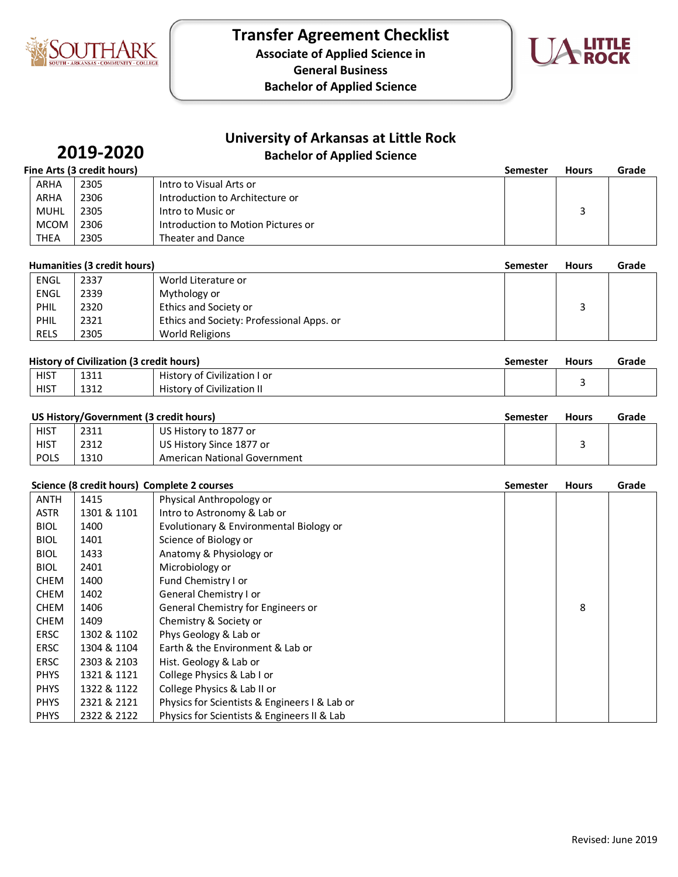

**Associate of Applied Science in** 

**General Business**

**Bachelor of Applied Science**



# **University of Arkansas at Little Rock**

## **Bachelor of Applied Science**

# **2019-2020**

|             | Fine Arts (3 credit hours) |                                    | <b>Semester</b> | <b>Hours</b> | Grade |
|-------------|----------------------------|------------------------------------|-----------------|--------------|-------|
| ARHA        | 2305                       | Intro to Visual Arts or            |                 |              |       |
| <b>ARHA</b> | 2306                       | Introduction to Architecture or    |                 |              |       |
| <b>MUHL</b> | 2305                       | Intro to Music or                  |                 |              |       |
| <b>MCOM</b> | 2306                       | Introduction to Motion Pictures or |                 |              |       |
| <b>THEA</b> | 2305                       | Theater and Dance                  |                 |              |       |

|             | Humanities (3 credit hours)<br><b>Semester</b> |                                           |  | <b>Hours</b> | Grade |
|-------------|------------------------------------------------|-------------------------------------------|--|--------------|-------|
| ENGL        | 2337                                           | World Literature or                       |  |              |       |
| ENGL        | 2339                                           | Mythology or                              |  |              |       |
| PHIL        | 2320                                           | Ethics and Society or                     |  |              |       |
| PHIL        | 2321                                           | Ethics and Society: Professional Apps. or |  |              |       |
| <b>RELS</b> | 2305                                           | World Religions                           |  |              |       |

| <b>History of Civilization (3 credit hours)</b> |      |                              | Semester | <b>Hours</b> | Grade |
|-------------------------------------------------|------|------------------------------|----------|--------------|-------|
| <b>HIST</b>                                     | 1311 | History of Civilization I or |          |              |       |
| HIST                                            | 1312 | History of Civilization II   |          |              |       |

### US History/Government (3 credit hours) **Semester** Hours Grade

| .           |      |                              | ----- |  |
|-------------|------|------------------------------|-------|--|
| <b>HIST</b> | 2311 | US History to 1877 or        |       |  |
| HIST        | 2312 | US History Since 1877 or     |       |  |
| <b>POLS</b> | 1310 | American National Government |       |  |

#### **Science (8 credit hours) Complete 2 courses Semester Hours Grade**

| <b>ANTH</b> | 1415        | Physical Anthropology or                      |   |  |
|-------------|-------------|-----------------------------------------------|---|--|
| <b>ASTR</b> | 1301 & 1101 | Intro to Astronomy & Lab or                   |   |  |
| <b>BIOL</b> | 1400        | Evolutionary & Environmental Biology or       |   |  |
| <b>BIOL</b> | 1401        | Science of Biology or                         |   |  |
| <b>BIOL</b> | 1433        | Anatomy & Physiology or                       |   |  |
| <b>BIOL</b> | 2401        | Microbiology or                               |   |  |
| <b>CHEM</b> | 1400        | Fund Chemistry I or                           |   |  |
| <b>CHEM</b> | 1402        | General Chemistry I or                        |   |  |
| <b>CHEM</b> | 1406        | General Chemistry for Engineers or            | 8 |  |
| <b>CHEM</b> | 1409        | Chemistry & Society or                        |   |  |
| <b>ERSC</b> | 1302 & 1102 | Phys Geology & Lab or                         |   |  |
| <b>ERSC</b> | 1304 & 1104 | Earth & the Environment & Lab or              |   |  |
| <b>ERSC</b> | 2303 & 2103 | Hist. Geology & Lab or                        |   |  |
| <b>PHYS</b> | 1321 & 1121 | College Physics & Lab I or                    |   |  |
| <b>PHYS</b> | 1322 & 1122 | College Physics & Lab II or                   |   |  |
| <b>PHYS</b> | 2321 & 2121 | Physics for Scientists & Engineers I & Lab or |   |  |
| <b>PHYS</b> | 2322 & 2122 | Physics for Scientists & Engineers II & Lab   |   |  |